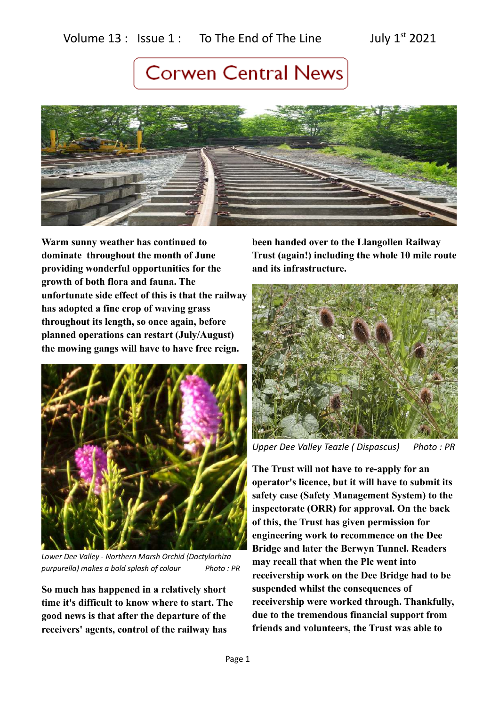

**Warm sunny weather has continued to dominate throughout the month of June providing wonderful opportunities for the growth of both flora and fauna. The unfortunate side effect of this is that the railway has adopted a fine crop of waving grass throughout its length, so once again, before planned operations can restart (July/August) the mowing gangs will have to have free reign.** 



*Lower Dee Valley - Northern Marsh Orchid (Dactylorhiza purpurella) makes a bold splash of colour Photo : PR*

**So much has happened in a relatively short time it's difficult to know where to start. The good news is that after the departure of the receivers' agents, control of the railway has** 

**been handed over to the Llangollen Railway Trust (again!) including the whole 10 mile route and its infrastructure.** 



*Upper Dee Valley Teazle ( Dispascus) Photo : PR*

**The Trust will not have to re-apply for an operator's licence, but it will have to submit its safety case (Safety Management System) to the inspectorate (ORR) for approval. On the back of this, the Trust has given permission for engineering work to recommence on the Dee Bridge and later the Berwyn Tunnel. Readers may recall that when the Plc went into receivership work on the Dee Bridge had to be suspended whilst the consequences of receivership were worked through. Thankfully, due to the tremendous financial support from friends and volunteers, the Trust was able to**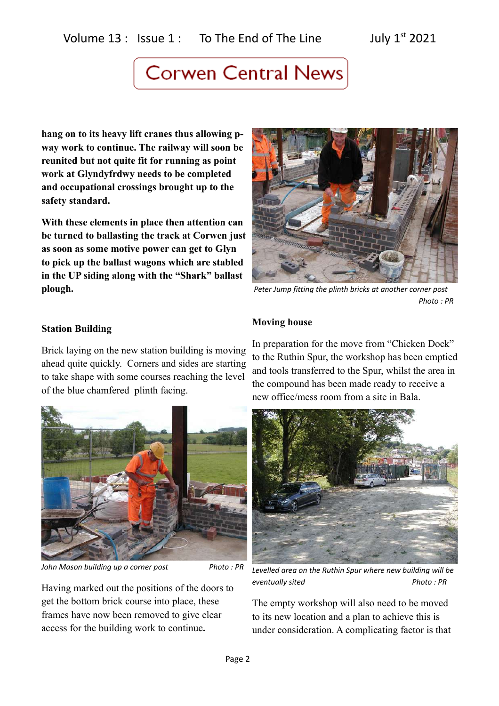**hang on to its heavy lift cranes thus allowing pway work to continue. The railway will soon be reunited but not quite fit for running as point work at Glyndyfrdwy needs to be completed and occupational crossings brought up to the safety standard.**

**With these elements in place then attention can be turned to ballasting the track at Corwen just as soon as some motive power can get to Glyn to pick up the ballast wagons which are stabled in the UP siding along with the "Shark" ballast plough.**



 *Peter Jump fitting the plinth bricks at another corner post Photo : PR*

### **Station Building**

Brick laying on the new station building is moving ahead quite quickly. Corners and sides are starting to take shape with some courses reaching the level of the blue chamfered plinth facing.



*John Mason building up a corner post* Photo : PR

Having marked out the positions of the doors to get the bottom brick course into place, these frames have now been removed to give clear access for the building work to continue**.**

### **Moving house**

In preparation for the move from "Chicken Dock" to the Ruthin Spur, the workshop has been emptied and tools transferred to the Spur, whilst the area in the compound has been made ready to receive a new office/mess room from a site in Bala.



*Levelled area on the Ruthin Spur where new building will be*  **eventually sited** Photo: PR

The empty workshop will also need to be moved to its new location and a plan to achieve this is under consideration. A complicating factor is that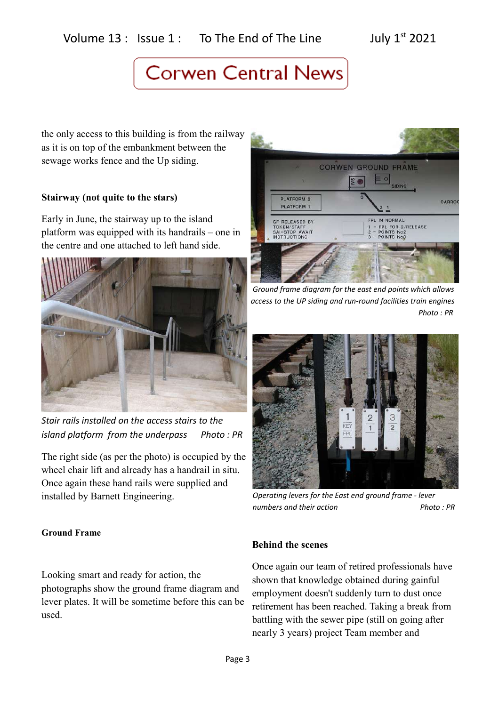the only access to this building is from the railway as it is on top of the embankment between the sewage works fence and the Up siding.

### **Stairway (not quite to the stars)**

Early in June, the stairway up to the island platform was equipped with its handrails – one in the centre and one attached to left hand side.



*Stair rails installed on the access stairs to the island platform from the underpass Photo : PR*

The right side (as per the photo) is occupied by the wheel chair lift and already has a handrail in situ. Once again these hand rails were supplied and installed by Barnett Engineering.

### **Ground Frame**

Looking smart and ready for action, the photographs show the ground frame diagram and lever plates. It will be sometime before this can be used.



 *Ground frame diagram for the east end points which allows access to the UP siding and run-round facilities train engines Photo : PR*



*Operating levers for the East end ground frame - lever numbers and their action* Photo : PR

### **Behind the scenes**

Once again our team of retired professionals have shown that knowledge obtained during gainful employment doesn't suddenly turn to dust once retirement has been reached. Taking a break from battling with the sewer pipe (still on going after nearly 3 years) project Team member and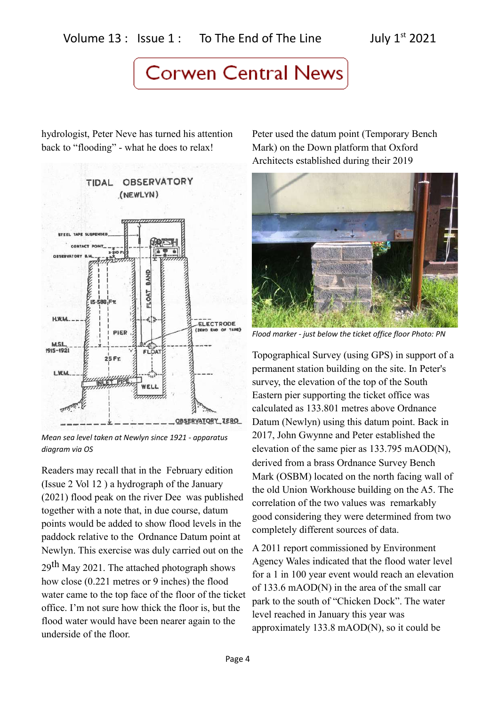hydrologist, Peter Neve has turned his attention back to "flooding" - what he does to relax!



*Mean sea level taken at Newlyn since 1921 - apparatus diagram via OS*

Readers may recall that in the February edition (Issue 2 Vol 12 ) a hydrograph of the January (2021) flood peak on the river Dee was published together with a note that, in due course, datum points would be added to show flood levels in the paddock relative to the Ordnance Datum point at Newlyn. This exercise was duly carried out on the

29th May 2021. The attached photograph shows how close (0.221 metres or 9 inches) the flood water came to the top face of the floor of the ticket office. I'm not sure how thick the floor is, but the flood water would have been nearer again to the underside of the floor.

Peter used the datum point (Temporary Bench Mark) on the Down platform that Oxford Architects established during their 2019



*Flood marker - just below the ticket office floor Photo: PN*

Topographical Survey (using GPS) in support of a permanent station building on the site. In Peter's survey, the elevation of the top of the South Eastern pier supporting the ticket office was calculated as 133.801 metres above Ordnance Datum (Newlyn) using this datum point. Back in 2017, John Gwynne and Peter established the elevation of the same pier as 133.795 mAOD(N), derived from a brass Ordnance Survey Bench Mark (OSBM) located on the north facing wall of the old Union Workhouse building on the A5. The correlation of the two values was remarkably good considering they were determined from two completely different sources of data.

A 2011 report commissioned by Environment Agency Wales indicated that the flood water level for a 1 in 100 year event would reach an elevation of 133.6 mAOD(N) in the area of the small car park to the south of "Chicken Dock". The water level reached in January this year was approximately 133.8 mAOD(N), so it could be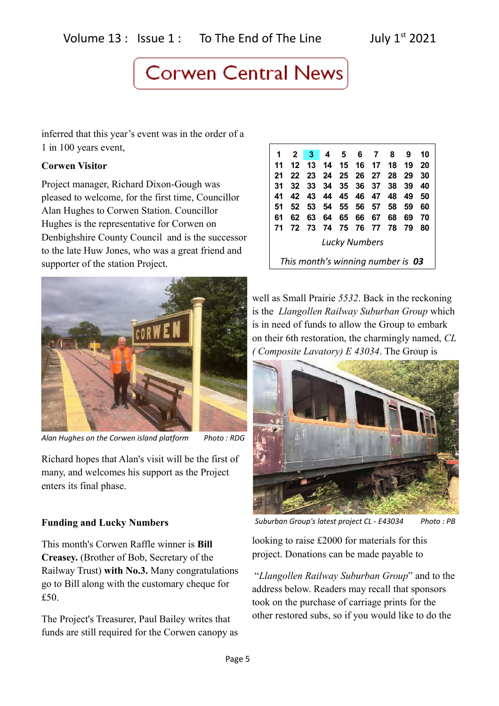inferred that this year's event was in the order of a 1 in 100 years event,

### **Corwen Visitor**

Project manager, Richard Dixon-Gough was pleased to welcome, for the first time, Councillor Alan Hughes to Corwen Station. Councillor Hughes is the representative for Corwen on Denbighshire County Council and is the successor to the late Huw Jones, who was a great friend and supporter of the station Project.



*Alan Hughes on the Corwen island platform Photo : RDG*

Richard hopes that Alan's visit will be the first of many, and welcomes his support as the Project enters its final phase.

### **Funding and Lucky Numbers**

This month's Corwen Raffle winner is **Bill Creasey.** (Brother of Bob, Secretary of the Railway Trust) **with No.3.** Many congratulations go to Bill along with the customary cheque for £50.

The Project's Treasurer, Paul Bailey writes that funds are still required for the Corwen canopy as

| 1                                 | $\mathbf{2}$ | - 3 - |      | 4 5 6       |          | $\overline{7}$ | 8    | 9   | 10 |
|-----------------------------------|--------------|-------|------|-------------|----------|----------------|------|-----|----|
| 11                                | 12           | 13    | 14   | 15 16 17    |          |                | 18   | 19  | 20 |
| 21                                |              | 22 23 | - 24 | 25 26 27    |          |                | - 28 | -29 | 30 |
| 31                                |              | 32 33 |      | 34 35 36 37 |          |                | 38   | -39 | 40 |
| 41                                |              | 42 43 |      | 44 45 46 47 |          |                | 48   | 49  | 50 |
| 51                                | 52           | - 53  | 54   | 55 56 57    |          |                | 58   | 59  | 60 |
| 61                                | 62           | 63    | 64   | 65          | 66       | 67             | 68   | 69  | 70 |
| 71                                | 72           | - 73  | - 74 |             | 75 76 77 |                | 78   | 79  | 80 |
| <b>Lucky Numbers</b>              |              |       |      |             |          |                |      |     |    |
| This month's winning number is 03 |              |       |      |             |          |                |      |     |    |

well as Small Prairie *5532*. Back in the reckoning is the *Llangollen Railway Suburban Group* which is in need of funds to allow the Group to embark on their 6th restoration, the charmingly named, *CL ( Composite Lavatory) E 43034*. The Group is



 *Suburban Group's latest project CL - E43034 Photo : PB*

looking to raise £2000 for materials for this project. Donations can be made payable to

 "*Llangollen Railway Suburban Group*" and to the address below. Readers may recall that sponsors took on the purchase of carriage prints for the other restored subs, so if you would like to do the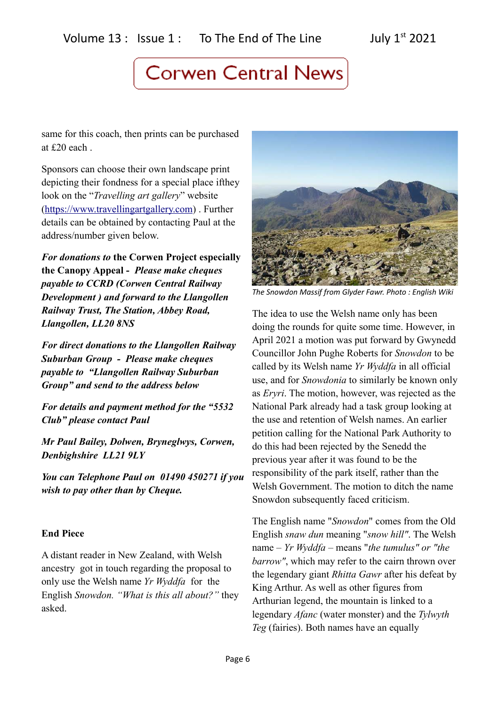same for this coach, then prints can be purchased at £20 each .

Sponsors can choose their own landscape print depicting their fondness for a special place ifthey look on the "*Travelling art gallery*" website [\(https://www.travellingartgallery.com\)](https://www.travellingartgallery.com/) . Further details can be obtained by contacting Paul at the address/number given below.

*For donations to* **the Corwen Project especially the Canopy Appeal -** *Please make cheques payable to CCRD (Corwen Central Railway Development ) and forward to the Llangollen Railway Trust, The Station, Abbey Road, Llangollen, LL20 8NS*

*For direct donations to the Llangollen Railway Suburban Group - Please make cheques payable to "Llangollen Railway Suburban Group" and send to the address below*

*For details and payment method for the "5532 Club" please contact Paul*

*Mr Paul Bailey, Dolwen, Bryneglwys, Corwen, Denbighshire LL21 9LY* 

*You can Telephone Paul on 01490 450271 if you wish to pay other than by Cheque.*

### **End Piece**

A distant reader in New Zealand, with Welsh ancestry got in touch regarding the proposal to only use the Welsh name *Yr Wyddfa* for the English *Snowdon. "What is this all about?"* they asked.



*The Snowdon Massif from Glyder Fawr. Photo : English Wiki*

The idea to use the Welsh name only has been doing the rounds for quite some time. However, in April 2021 a motion was put forward by Gwynedd Councillor John Pughe Roberts for *Snowdon* to be called by its Welsh name *Yr Wyddfa* in all official use, and for *Snowdonia* to similarly be known only as *Eryri*. The motion, however, was rejected as the National Park already had a task group looking at the use and retention of Welsh names. An earlier petition calling for the National Park Authority to do this had been rejected by the Senedd the previous year after it was found to be the responsibility of the park itself, rather than the Welsh Government. The motion to ditch the name Snowdon subsequently faced criticism.

The English name "*Snowdon*" comes from the Old English *snaw dun* meaning "*snow hill"*. The Welsh name – *Yr Wyddfa* – means "*the tumulus" or "the barrow"*, which may refer to the cairn thrown over the legendary giant *Rhitta Gawr* after his defeat by King Arthur. As well as other figures from Arthurian legend, the mountain is linked to a legendary *Afanc* (water monster) and the *Tylwyth Teg* (fairies). Both names have an equally